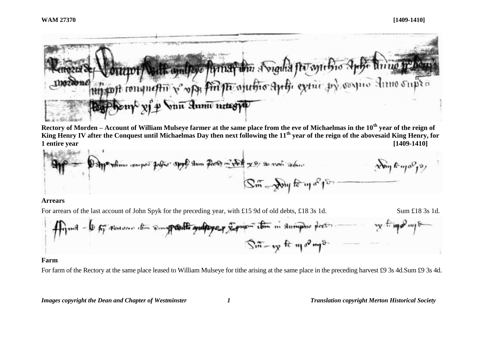

**Rectory of Morden – Account of William Mulseye farmer at the same place from the eve of Michaelmas in the 10th year of the reign of King Henry IV after the Conquest until Michaelmas Day then next following the 11th year of the reign of the abovesaid King Henry, for 1 entire year [1409-1410]**

$$
\mathcal{G}_{\text{eff}} = \frac{\mathcal{G}_{\text{eff}} + \mathcal{G}_{\text{eff}} + \mathcal{G}_{\text{eff}} + \mathcal{G}_{\text{eff}} + \mathcal{G}_{\text{eff}} + \mathcal{G}_{\text{eff}} + \mathcal{G}_{\text{eff}} + \mathcal{G}_{\text{eff}} + \mathcal{G}_{\text{eff}} + \mathcal{G}_{\text{eff}} + \mathcal{G}_{\text{eff}} + \mathcal{G}_{\text{eff}} + \mathcal{G}_{\text{eff}} + \mathcal{G}_{\text{eff}} + \mathcal{G}_{\text{eff}} + \mathcal{G}_{\text{eff}} + \mathcal{G}_{\text{eff}} + \mathcal{G}_{\text{eff}} + \mathcal{G}_{\text{eff}} + \mathcal{G}_{\text{eff}} + \mathcal{G}_{\text{eff}} + \mathcal{G}_{\text{eff}} + \mathcal{G}_{\text{eff}} + \mathcal{G}_{\text{eff}} + \mathcal{G}_{\text{eff}} + \mathcal{G}_{\text{eff}} + \mathcal{G}_{\text{eff}} + \mathcal{G}_{\text{eff}} + \mathcal{G}_{\text{eff}} + \mathcal{G}_{\text{eff}} + \mathcal{G}_{\text{eff}} + \mathcal{G}_{\text{eff}} + \mathcal{G}_{\text{eff}} + \mathcal{G}_{\text{eff}} + \mathcal{G}_{\text{eff}} + \mathcal{G}_{\text{eff}} + \mathcal{G}_{\text{eff}} + \mathcal{G}_{\text{eff}} + \mathcal{G}_{\text{eff}} + \mathcal{G}_{\text{eff}} + \mathcal{G}_{\text{eff}} + \mathcal{G}_{\text{eff}} + \mathcal{G}_{\text{eff}} + \mathcal{G}_{\text{eff}} + \mathcal{G}_{\text{eff}} + \mathcal{G}_{\text{eff}} + \mathcal{G}_{\text{eff}} + \mathcal{G}_{\text{eff}} + \mathcal{G}_{\text{eff}} + \mathcal{G}_{\text{eff}} + \mathcal{G}_{\text{eff}} + \mathcal{G}_{\text{eff}} + \mathcal{G}_{\text{eff}} + \mathcal{G}_{\text{eff}} + \mathcal{G}_{\text{eff}} + \mathcal{G}_{\text{eff}} + \mathcal{G}_{\text{eff}} + \mathcal{G}_{\text{eff}} + \mathcal{G}_{\text{eff}} + \mathcal{G}_{\text{eff}} + \mathcal{G}_{\text{eff}} + \mathcal{G}_{\text{eff}} + \math
$$

#### **Arrears**

For arrears of the last account of John Spyk for the preceding year, with £15 9d of old debts, £18 3s 1d.

$$
Sum £18 3s 1d.
$$



#### **Farm**

For farm of the Rectory at the same place leased to William Mulseye for tithe arising at the same place in the preceding harvest £9 3s 4d.Sum £9 3s 4d.

*Images copyright the Dean and Chapter of Westminster 1 Translation copyright Merton Historical Society*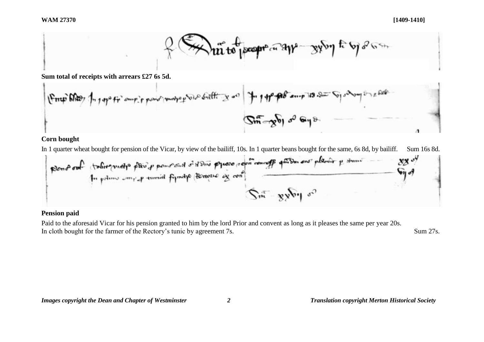

**Sum total of receipts with arrears £27 6s 5d.**

$$
\frac{1}{\sqrt{2\pi}}\int_{0}^{\infty} \int_{0}^{\infty} \int_{0}^{\infty} \int_{0}^{\infty} \int_{0}^{\infty} \int_{0}^{\infty} \int_{0}^{\infty} \int_{0}^{\infty} \int_{0}^{\infty} \int_{0}^{\infty} \int_{0}^{\infty} \int_{0}^{\infty} \int_{0}^{\infty} \int_{0}^{\infty} \int_{0}^{\infty} \int_{0}^{\infty} \int_{0}^{\infty} \int_{0}^{\infty} \int_{0}^{\infty} \int_{0}^{\infty} \int_{0}^{\infty} \int_{0}^{\infty} \int_{0}^{\infty} \int_{0}^{\infty} \int_{0}^{\infty} \int_{0}^{\infty} \int_{0}^{\infty} \int_{0}^{\infty} \int_{0}^{\infty} \int_{0}^{\infty} \int_{0}^{\infty} \int_{0}^{\infty} \int_{0}^{\infty} \int_{0}^{\infty} \int_{0}^{\infty} \int_{0}^{\infty} \int_{0}^{\infty} \int_{0}^{\infty} \int_{0}^{\infty} \int_{0}^{\infty} \int_{0}^{\infty} \int_{0}^{\infty} \int_{0}^{\infty} \int_{0}^{\infty} \int_{0}^{\infty} \int_{0}^{\infty} \int_{0}^{\infty} \int_{0}^{\infty} \int_{0}^{\infty} \int_{0}^{\infty} \int_{0}^{\infty} \int_{0}^{\infty} \int_{0}^{\infty} \int_{0}^{\infty} \int_{0}^{\infty} \int_{0}^{\infty} \int_{0}^{\infty} \int_{0}^{\infty} \int_{0}^{\infty} \int_{0}^{\infty} \int_{0}^{\infty} \int_{0}^{\infty} \int_{0}^{\infty} \int_{0}^{\infty} \int_{0}^{\infty} \int_{0}^{\infty} \int_{0}^{\infty} \int_{0}^{\infty} \int_{0}^{\infty} \int_{0}^{\infty} \int_{0}^{\infty} \int_{0}^{\infty} \int_{0}^{\infty} \int_{0}^{\infty} \int_{0}^{\in
$$

### **Corn bought**

In 1 quarter wheat bought for pension of the Vicar, by view of the bailiff, 10s. In 1 quarter beans bought for the same, 6s 8d, by bailiff. Sum 16s 8d.

## **Pension paid**

Paid to the aforesaid Vicar for his pension granted to him by the lord Prior and convent as long as it pleases the same per year 20s. In cloth bought for the farmer of the Rectory's tunic by agreement 7s. Sum 27s.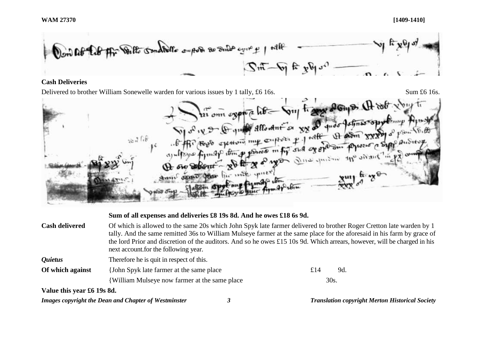**WAM 27370 [1409-1410]**



### **Cash Deliveries**

Delivered to brother William Sonewelle warden for various issues by 1 tally, £6 16s. Sum £6 16s. Sum £6 16s. Sum £6 16s. Sum £6 16s. Sum £6 16s. Sum £6 16s. Sum £6 16s. Sum £6 16s. Sum £6 16s. Sum £6 16s. Sum £6 16s. Sum & was alle spice Amin search four

# *Images copyright the Dean and Chapter of Westminster 3 Translation copyright Merton Historical Society* **Sum of all expenses and deliveries £8 19s 8d. And he owes £18 6s 9d. Cash delivered** Of which is allowed to the same 20s which John Spyk late farmer delivered to brother Roger Cretton late warden by 1 tally. And the same remitted 36s to William Mulseye farmer at the same place for the aforesaid in his farm by grace of the lord Prior and discretion of the auditors. And so he owes £15 10s 9d. Which arrears, however, will be charged in his next account.for the following year. *Quietus* Therefore he is quit in respect of this. **Of which against** {John Spyk late farmer at the same place £14 9d. {William Mulseye now farmer at the same place 30s. **Value this year £6 19s 8d.**